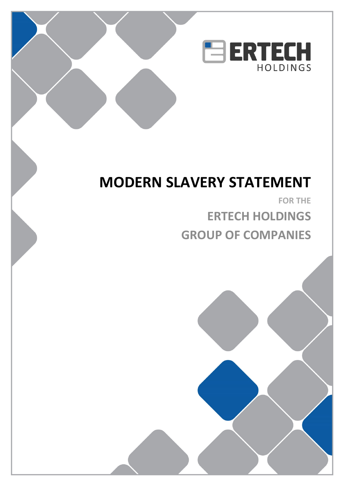

# **MODERN SLAVERY STATEMENT**

 $\overline{\phantom{a}}$ SUB-HEADING

> **FOR THE ERTECH HOLDINGS GROUP OF COMPANIES**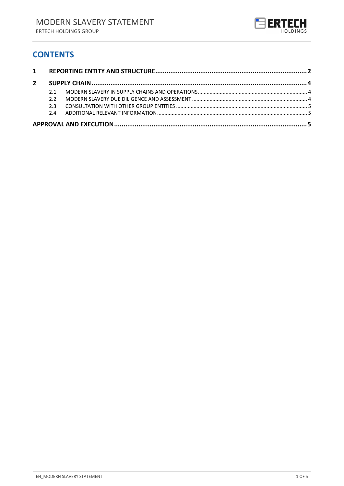

### **CONTENTS**

| $2^{\circ}$ |     |  |  |  |
|-------------|-----|--|--|--|
|             | 21  |  |  |  |
|             | 22  |  |  |  |
|             | 2 3 |  |  |  |
|             | 24  |  |  |  |
|             |     |  |  |  |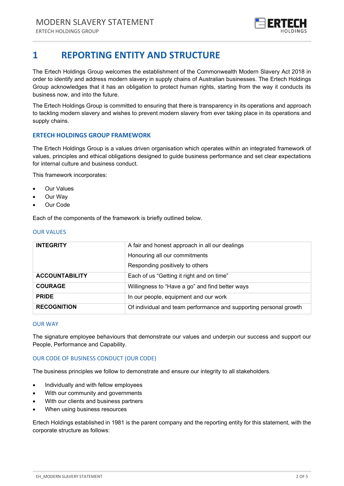

# <span id="page-2-0"></span>**1 REPORTING ENTITY AND STRUCTURE**

The Ertech Holdings Group welcomes the establishment of the Commonwealth Modern Slavery Act 2018 in order to identify and address modern slavery in supply chains of Australian businesses. The Ertech Holdings Group acknowledges that it has an obligation to protect human rights, starting from the way it conducts its business now, and into the future.

The Ertech Holdings Group is committed to ensuring that there is transparency in its operations and approach to tackling modern slavery and wishes to prevent modern slavery from ever taking place in its operations and supply chains.

#### **ERTECH HOLDINGS GROUP FRAMEWORK**

The Ertech Holdings Group is a values driven organisation which operates within an integrated framework of values, principles and ethical obligations designed to guide business performance and set clear expectations for internal culture and business conduct.

This framework incorporates:

- **Our Values**
- Our Way
- Our Code

Each of the components of the framework is briefly outlined below.

#### OUR VALUES

| <b>INTEGRITY</b>      | A fair and honest approach in all our dealings                    |  |  |
|-----------------------|-------------------------------------------------------------------|--|--|
|                       | Honouring all our commitments                                     |  |  |
|                       | Responding positively to others                                   |  |  |
| <b>ACCOUNTABILITY</b> | Each of us "Getting it right and on time"                         |  |  |
| <b>COURAGE</b>        | Willingness to "Have a go" and find better ways                   |  |  |
| <b>PRIDE</b>          | In our people, equipment and our work                             |  |  |
| <b>RECOGNITION</b>    | Of individual and team performance and supporting personal growth |  |  |

#### OUR WAY

The signature employee behaviours that demonstrate our values and underpin our success and support our People, Performance and Capability.

#### OUR CODE OF BUSINESS CONDUCT (OUR CODE)

The business principles we follow to demonstrate and ensure our integrity to all stakeholders.

- Individually and with fellow employees
- With our community and governments
- With our clients and business partners
- When using business resources

Ertech Holdings established in 1981 is the parent company and the reporting entity for this statement, with the corporate structure as follows: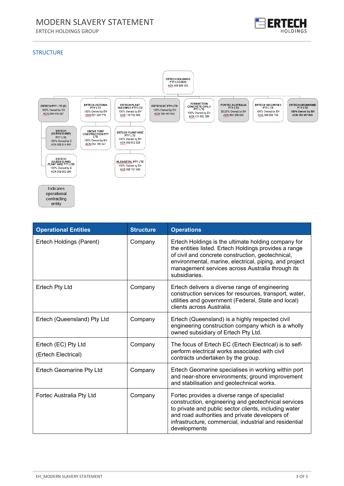# MODERN SLAVERY STATEMENT

ERTECH HOLDINGS GROUP



#### **STRUCTURE**



| <b>Operational Entities</b>                | <b>Structure</b> | <b>Operations</b>                                                                                                                                                                                                                                                                                |
|--------------------------------------------|------------------|--------------------------------------------------------------------------------------------------------------------------------------------------------------------------------------------------------------------------------------------------------------------------------------------------|
| Ertech Holdings (Parent)                   | Company          | Ertech Holdings is the ultimate holding company for<br>the entities listed. Ertech Holdings provides a range<br>of civil and concrete construction, geotechnical,<br>environmental, marine, electrical, piping, and project<br>management services across Australia through its<br>subsidiaries. |
| <b>Ertech Pty Ltd</b>                      | Company          | Ertech delivers a diverse range of engineering<br>construction services for resources, transport, water,<br>utilities and government (Federal, State and local)<br>clients across Australia.                                                                                                     |
| Ertech (Queensland) Pty Ltd                | Company          | Ertech (Queensland) is a highly respected civil<br>engineering construction company which is a wholly<br>owned subsidiary of Ertech Pty Ltd.                                                                                                                                                     |
| Ertech (EC) Pty Ltd<br>(Ertech Electrical) | Company          | The focus of Ertech EC (Ertech Electrical) is to self-<br>perform electrical works associated with civil<br>contracts undertaken by the group.                                                                                                                                                   |
| <b>Ertech Geomarine Pty Ltd</b>            | Company          | Ertech Geomarine specialises in working within port<br>and near-shore environments; ground improvement<br>and stabilisation and geotechnical works.                                                                                                                                              |
| Fortec Australia Pty Ltd                   | Company          | Fortec provides a diverse range of specialist<br>construction, engineering and geotechnical services<br>to private and public sector clients, including water<br>and road authorities and private developers of<br>infrastructure, commercial, industrial and residential<br>developments        |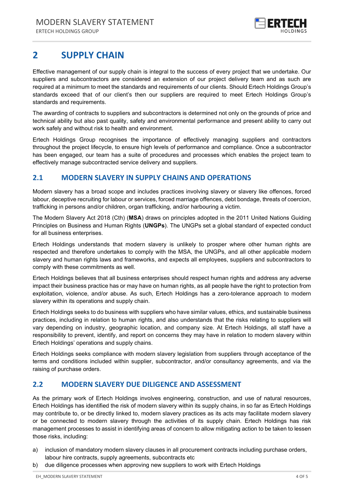

# <span id="page-4-0"></span>**2 SUPPLY CHAIN**

Effective management of our supply chain is integral to the success of every project that we undertake. Our suppliers and subcontractors are considered an extension of our project delivery team and as such are required at a minimum to meet the standards and requirements of our clients. Should Ertech Holdings Group's standards exceed that of our client's then our suppliers are required to meet Ertech Holdings Group's standards and requirements.

The awarding of contracts to suppliers and subcontractors is determined not only on the grounds of price and technical ability but also past quality, safety and environmental performance and present ability to carry out work safely and without risk to health and environment.

Ertech Holdings Group recognises the importance of effectively managing suppliers and contractors throughout the project lifecycle, to ensure high levels of performance and compliance. Once a subcontractor has been engaged, our team has a suite of procedures and processes which enables the project team to effectively manage subcontracted service delivery and suppliers.

### <span id="page-4-1"></span>**2.1 MODERN SLAVERY IN SUPPLY CHAINS AND OPERATIONS**

Modern slavery has a broad scope and includes practices involving slavery or slavery like offences, forced labour, deceptive recruiting for labour or services, forced marriage offences, debt bondage, threats of coercion, trafficking in persons and/or children, organ trafficking, and/or harbouring a victim.

The Modern Slavery Act 2018 (Cth) (**MSA**) draws on principles adopted in the 2011 United Nations Guiding Principles on Business and Human Rights (**UNGPs**). The UNGPs set a global standard of expected conduct for all business enterprises.

Ertech Holdings understands that modern slavery is unlikely to prosper where other human rights are respected and therefore undertakes to comply with the MSA, the UNGPs, and all other applicable modern slavery and human rights laws and frameworks, and expects all employees, suppliers and subcontractors to comply with these commitments as well.

Ertech Holdings believes that all business enterprises should respect human rights and address any adverse impact their business practice has or may have on human rights, as all people have the right to protection from exploitation, violence, and/or abuse. As such, Ertech Holdings has a zero-tolerance approach to modern slavery within its operations and supply chain.

Ertech Holdings seeks to do business with suppliers who have similar values, ethics, and sustainable business practices, including in relation to human rights, and also understands that the risks relating to suppliers will vary depending on industry, geographic location, and company size. At Ertech Holdings, all staff have a responsibility to prevent, identify, and report on concerns they may have in relation to modern slavery within Ertech Holdings' operations and supply chains.

Ertech Holdings seeks compliance with modern slavery legislation from suppliers through acceptance of the terms and conditions included within supplier, subcontractor, and/or consultancy agreements, and via the raising of purchase orders.

### <span id="page-4-2"></span>**2.2 MODERN SLAVERY DUE DILIGENCE AND ASSESSMENT**

As the primary work of Ertech Holdings involves engineering, construction, and use of natural resources, Ertech Holdings has identified the risk of modern slavery within its supply chains, in so far as Ertech Holdings may contribute to, or be directly linked to, modern slavery practices as its acts may facilitate modern slavery or be connected to modern slavery through the activities of its supply chain. Ertech Holdings has risk management processes to assist in identifying areas of concern to allow mitigating action to be taken to lessen those risks, including:

- a) inclusion of mandatory modern slavery clauses in all procurement contracts including purchase orders, labour hire contracts, supply agreements, subcontracts etc
- b) due diligence processes when approving new suppliers to work with Ertech Holdings